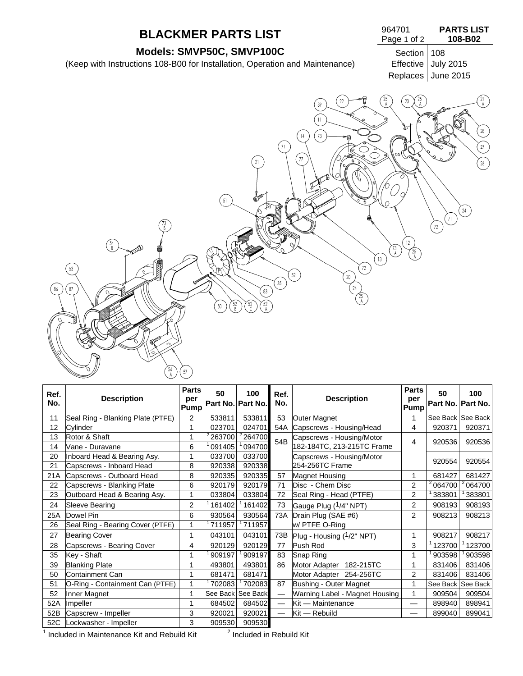## **BLACKMER PARTS LIST**

**Models: SMVP50C, SMVP100C**<br>
ions 108-B00 for Installation, Operation and Maintenance) Effective July 2015 (Keep with Instructions 108-B00 for Installation, Operation and Maintenance)

| 964701      | <b>PARTS LIST</b> |
|-------------|-------------------|
| Page 1 of 2 | 108-B02           |

Replaces June 2015



| Ref.<br>No. | <b>Description</b>                | <b>Parts</b><br>per<br>Pump | 50                  | 100<br>Part No. Part No. | Ref.<br>No.              | <b>Description</b>             | <b>Parts</b><br>per<br><b>Pump</b> | 50                  | 100<br>Part No. Part No. |
|-------------|-----------------------------------|-----------------------------|---------------------|--------------------------|--------------------------|--------------------------------|------------------------------------|---------------------|--------------------------|
| 11          | Seal Ring - Blanking Plate (PTFE) | $\overline{2}$              | 533811              | 533811                   | 53                       | <b>Outer Magnet</b>            |                                    |                     | See Back See Back        |
| 12          | Cylinder                          |                             | 023701              | 024701                   | 54A                      | Capscrews - Housing/Head       | 4                                  | 920371              | 920371                   |
| 13          | Rotor & Shaft                     | 1                           | <sup>2</sup> 263700 | 264700                   | 54B                      | Capscrews - Housing/Motor      | 4                                  | 920536              | 920536                   |
| 14          | Vane - Duravane                   | 6                           | 091405              | 094700                   |                          | 182-184TC, 213-215TC Frame     |                                    |                     |                          |
| 20          | Inboard Head & Bearing Asy.       |                             | 033700              | 033700                   |                          | Capscrews - Housing/Motor      |                                    | 920554              | 920554                   |
| 21          | Capscrews - Inboard Head          | 8                           | 920338              | 920338                   |                          | 254-256TC Frame                |                                    |                     |                          |
| 21A         | Capscrews - Outboard Head         | 8                           | 920335              | 920335                   | 57                       | <b>Magnet Housing</b>          | 1                                  | 681427              | 681427                   |
| 22          | Capscrews - Blanking Plate        | 6                           | 920179              | 920179                   | 71                       | Disc - Chem Disc               | 2                                  | <sup>2</sup> 064700 | 2064700                  |
| 23          | Outboard Head & Bearing Asy.      | 1                           | 033804              | 033804                   | 72                       | Seal Ring - Head (PTFE)        | 2                                  | 383801              | 383801                   |
| 24          | <b>Sleeve Bearing</b>             | $\overline{2}$              | 161402              | 161402                   | 73                       | Gauge Plug (1/4" NPT)          | $\overline{2}$                     | 908193              | 908193                   |
| 25A         | Dowel Pin                         | 6                           | 930564              | 930564                   | 73A                      | Drain Plug (SAE #6)            | $\overline{2}$                     | 908213              | 908213                   |
| 26          | Seal Ring - Bearing Cover (PTFE)  | 1                           | 711957              | 711957                   |                          | w/ PTFE O-Ring                 |                                    |                     |                          |
| 27          | <b>Bearing Cover</b>              | 1                           | 043101              | 043101                   | 73B                      | Plug - Housing (1/2" NPT)      | 1                                  | 908217              | 908217                   |
| 28          | Capscrews - Bearing Cover         | 4                           | 920129              | 920129                   | 77                       | Push Rod                       | 3                                  | 123700              | 123700                   |
| 35          | Key - Shaft                       | 1                           | 909197              | 909197                   | 83                       | Snap Ring                      | 1                                  | 903598              | 903598                   |
| 39          | <b>Blanking Plate</b>             | 1                           | 493801              | 493801                   | 86                       | Motor Adapter<br>182-215TC     | 1                                  | 831406              | 831406                   |
| 50          | Containment Can                   | 1                           | 681471              | 681471                   |                          | Motor Adapter 254-256TC        | 2                                  | 831406              | 831406                   |
| 51          | O-Ring - Containment Can (PTFE)   |                             | 702083              | 702083                   | 87                       | Bushing - Outer Magnet         | 1                                  | See Back            | See Back                 |
| 52          | Inner Magnet                      | 1                           | See Back            | See Back                 | $\overline{\phantom{0}}$ | Warning Label - Magnet Housing | 1                                  | 909504              | 909504                   |
| 52A         | Impeller                          | 1                           | 684502              | 684502                   | $\overline{\phantom{0}}$ | Kit - Maintenance              | —                                  | 898940              | 898941                   |
| 52B         | Capscrew - Impeller               | 3                           | 920021              | 920021                   |                          | Kit - Rebuild                  | —                                  | 899040              | 899041                   |
| 52C         | Lockwasher - Impeller             | 3                           | 909530              | 909530                   |                          |                                |                                    |                     |                          |

 $1$  Included in Maintenance Kit and Rebuild Kit  $2^2$ 

 $2$  Included in Rebuild Kit